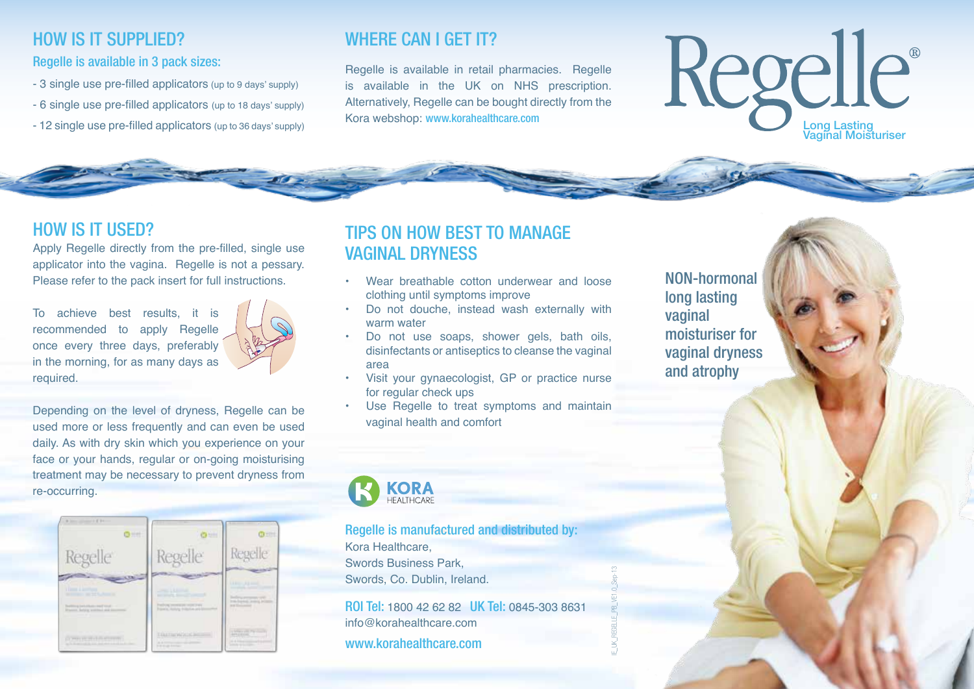# HOW IS IT SUPPLIED?

#### Regelle is available in 3 pack sizes:

- 3 single use pre-filled applicators (up to 9 days' supply)
- 6 single use pre-filled applicators (up to 18 days' supply)
- 12 single use pre-filled applicators (up to 36 days' supply)

# WHERE CAN I GET IT?

Regelle is available in retail pharmacies. Regelle is available in the UK on NHS prescription. Alternatively, Regelle can be bought directly from the Kora webshop: www.korahealthcare.com

# Regelle® Long Lasting Vaginal Moisturiser

# HOW IS IT USED?

Apply Regelle directly from the pre-filled, single use applicator into the vagina. Regelle is not a pessary. Please refer to the pack insert for full instructions.

To achieve best results, it is recommended to apply Regelle once every three days, preferably in the morning, for as many days as required.



Depending on the level of dryness, Regelle can be used more or less frequently and can even be used daily. As with dry skin which you experience on your face or your hands, regular or on-going moisturising treatment may be necessary to prevent dryness from re-occurring.



# TIPS ON HOW BEST TO MANAGE VAGINAL DRYNESS

- Wear breathable cotton underwear and loose clothing until symptoms improve
- Do not douche, instead wash externally with warm water
- Do not use soaps, shower gels, bath oils, disinfectants or antiseptics to cleanse the vaginal area
- Visit your gynaecologist, GP or practice nurse for regular check ups
- Use Regelle to treat symptoms and maintain vaginal health and comfort

NON-hormonal long lasting vaginal moisturiser for vaginal dryness and atrophy

**KORA**<br>HEALTHCARE

Regelle is manufactured and distributed by: Kora Healthcare, Swords Business Park, Swords, Co. Dublin, Ireland.

ROI Tel: 1800 42 62 82 UK Tel: 0845-303 8631 info@korahealthcare.com www.korahealthcare.com

IE\_UK\_REGELLE\_PB\_VE1.0\_Sep-13